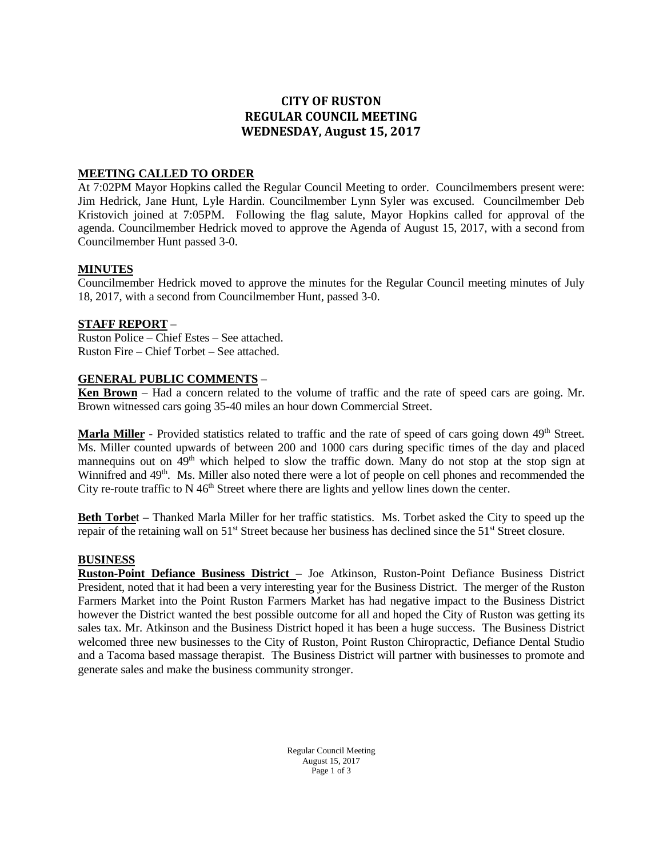# **CITY OF RUSTON REGULAR COUNCIL MEETING WEDNESDAY, August 15, 2017**

### **MEETING CALLED TO ORDER**

At 7:02PM Mayor Hopkins called the Regular Council Meeting to order. Councilmembers present were: Jim Hedrick, Jane Hunt, Lyle Hardin. Councilmember Lynn Syler was excused. Councilmember Deb Kristovich joined at 7:05PM. Following the flag salute, Mayor Hopkins called for approval of the agenda. Councilmember Hedrick moved to approve the Agenda of August 15, 2017, with a second from Councilmember Hunt passed 3-0.

#### **MINUTES**

Councilmember Hedrick moved to approve the minutes for the Regular Council meeting minutes of July 18, 2017, with a second from Councilmember Hunt, passed 3-0.

#### **STAFF REPORT** –

Ruston Police – Chief Estes – See attached. Ruston Fire – Chief Torbet – See attached.

### **GENERAL PUBLIC COMMENTS** –

**Ken Brown** – Had a concern related to the volume of traffic and the rate of speed cars are going. Mr. Brown witnessed cars going 35-40 miles an hour down Commercial Street.

**Marla Miller** - Provided statistics related to traffic and the rate of speed of cars going down 49<sup>th</sup> Street. Ms. Miller counted upwards of between 200 and 1000 cars during specific times of the day and placed mannequins out on 49<sup>th</sup> which helped to slow the traffic down. Many do not stop at the stop sign at Winnifred and 49<sup>th</sup>. Ms. Miller also noted there were a lot of people on cell phones and recommended the City re-route traffic to  $N$  46<sup>th</sup> Street where there are lights and yellow lines down the center.

**Beth Torbe**t – Thanked Marla Miller for her traffic statistics. Ms. Torbet asked the City to speed up the repair of the retaining wall on 51<sup>st</sup> Street because her business has declined since the 51<sup>st</sup> Street closure.

#### **BUSINESS**

**Ruston-Point Defiance Business District** – Joe Atkinson, Ruston-Point Defiance Business District President, noted that it had been a very interesting year for the Business District. The merger of the Ruston Farmers Market into the Point Ruston Farmers Market has had negative impact to the Business District however the District wanted the best possible outcome for all and hoped the City of Ruston was getting its sales tax. Mr. Atkinson and the Business District hoped it has been a huge success. The Business District welcomed three new businesses to the City of Ruston, Point Ruston Chiropractic, Defiance Dental Studio and a Tacoma based massage therapist. The Business District will partner with businesses to promote and generate sales and make the business community stronger.

> Regular Council Meeting August 15, 2017 Page 1 of 3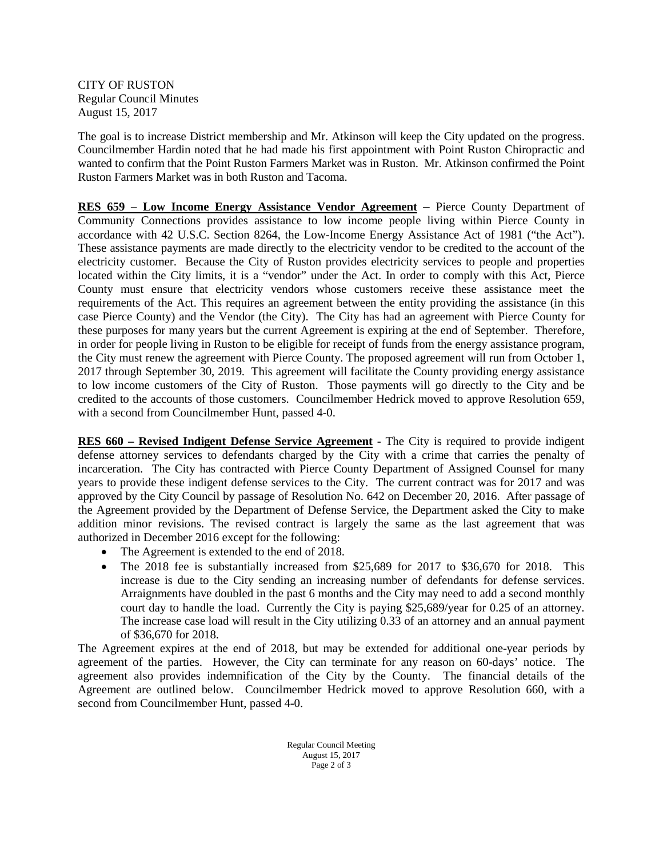CITY OF RUSTON Regular Council Minutes August 15, 2017

The goal is to increase District membership and Mr. Atkinson will keep the City updated on the progress. Councilmember Hardin noted that he had made his first appointment with Point Ruston Chiropractic and wanted to confirm that the Point Ruston Farmers Market was in Ruston. Mr. Atkinson confirmed the Point Ruston Farmers Market was in both Ruston and Tacoma.

**RES 659 – Low Income Energy Assistance Vendor Agreement** – Pierce County Department of Community Connections provides assistance to low income people living within Pierce County in accordance with 42 U.S.C. Section 8264, the Low-Income Energy Assistance Act of 1981 ("the Act"). These assistance payments are made directly to the electricity vendor to be credited to the account of the electricity customer. Because the City of Ruston provides electricity services to people and properties located within the City limits, it is a "vendor" under the Act. In order to comply with this Act, Pierce County must ensure that electricity vendors whose customers receive these assistance meet the requirements of the Act. This requires an agreement between the entity providing the assistance (in this case Pierce County) and the Vendor (the City). The City has had an agreement with Pierce County for these purposes for many years but the current Agreement is expiring at the end of September. Therefore, in order for people living in Ruston to be eligible for receipt of funds from the energy assistance program, the City must renew the agreement with Pierce County. The proposed agreement will run from October 1, 2017 through September 30, 2019. This agreement will facilitate the County providing energy assistance to low income customers of the City of Ruston. Those payments will go directly to the City and be credited to the accounts of those customers. Councilmember Hedrick moved to approve Resolution 659, with a second from Councilmember Hunt, passed 4-0.

**RES 660 – Revised Indigent Defense Service Agreement** - The City is required to provide indigent defense attorney services to defendants charged by the City with a crime that carries the penalty of incarceration. The City has contracted with Pierce County Department of Assigned Counsel for many years to provide these indigent defense services to the City. The current contract was for 2017 and was approved by the City Council by passage of Resolution No. 642 on December 20, 2016. After passage of the Agreement provided by the Department of Defense Service, the Department asked the City to make addition minor revisions. The revised contract is largely the same as the last agreement that was authorized in December 2016 except for the following:

- The Agreement is extended to the end of 2018.
- The 2018 fee is substantially increased from \$25,689 for 2017 to \$36,670 for 2018. This increase is due to the City sending an increasing number of defendants for defense services. Arraignments have doubled in the past 6 months and the City may need to add a second monthly court day to handle the load. Currently the City is paying \$25,689/year for 0.25 of an attorney. The increase case load will result in the City utilizing 0.33 of an attorney and an annual payment of \$36,670 for 2018.

The Agreement expires at the end of 2018, but may be extended for additional one-year periods by agreement of the parties. However, the City can terminate for any reason on 60-days' notice. The agreement also provides indemnification of the City by the County. The financial details of the Agreement are outlined below. Councilmember Hedrick moved to approve Resolution 660, with a second from Councilmember Hunt, passed 4-0.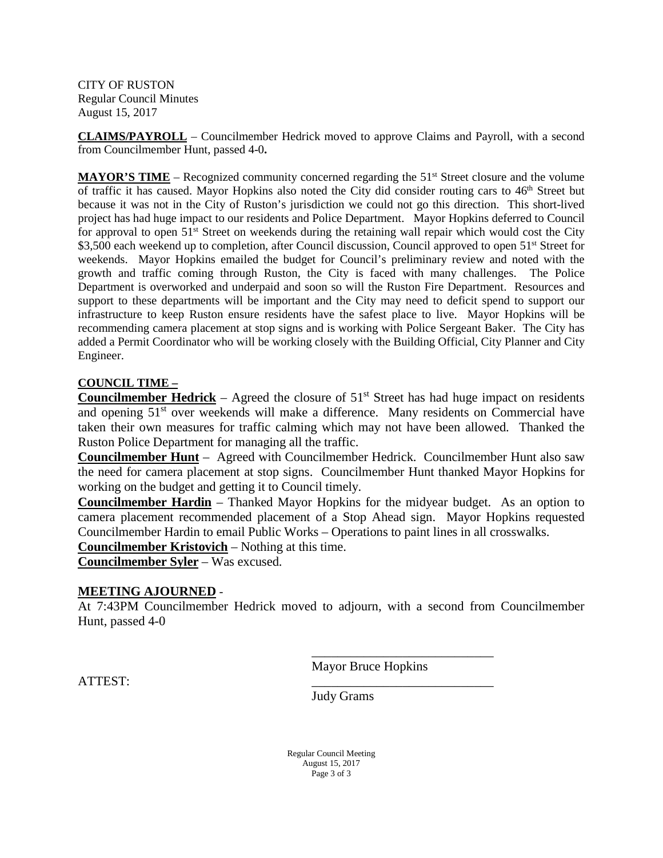CITY OF RUSTON Regular Council Minutes August 15, 2017

**CLAIMS/PAYROLL** – Councilmember Hedrick moved to approve Claims and Payroll, with a second from Councilmember Hunt, passed 4-0**.**

**MAYOR'S TIME** – Recognized community concerned regarding the 51<sup>st</sup> Street closure and the volume of traffic it has caused. Mayor Hopkins also noted the City did consider routing cars to  $46<sup>th</sup>$  Street but because it was not in the City of Ruston's jurisdiction we could not go this direction. This short-lived project has had huge impact to our residents and Police Department. Mayor Hopkins deferred to Council for approval to open 51<sup>st</sup> Street on weekends during the retaining wall repair which would cost the City \$3,500 each weekend up to completion, after Council discussion, Council approved to open 51<sup>st</sup> Street for weekends. Mayor Hopkins emailed the budget for Council's preliminary review and noted with the growth and traffic coming through Ruston, the City is faced with many challenges. The Police Department is overworked and underpaid and soon so will the Ruston Fire Department. Resources and support to these departments will be important and the City may need to deficit spend to support our infrastructure to keep Ruston ensure residents have the safest place to live. Mayor Hopkins will be recommending camera placement at stop signs and is working with Police Sergeant Baker. The City has added a Permit Coordinator who will be working closely with the Building Official, City Planner and City Engineer.

### **COUNCIL TIME –**

**Councilmember Hedrick** – Agreed the closure of  $51<sup>st</sup>$  Street has had huge impact on residents and opening  $51<sup>st</sup>$  over weekends will make a difference. Many residents on Commercial have taken their own measures for traffic calming which may not have been allowed. Thanked the Ruston Police Department for managing all the traffic.

**Councilmember Hunt** – Agreed with Councilmember Hedrick. Councilmember Hunt also saw the need for camera placement at stop signs. Councilmember Hunt thanked Mayor Hopkins for working on the budget and getting it to Council timely.

**Councilmember Hardin** – Thanked Mayor Hopkins for the midyear budget. As an option to camera placement recommended placement of a Stop Ahead sign. Mayor Hopkins requested Councilmember Hardin to email Public Works – Operations to paint lines in all crosswalks.

**Councilmember Kristovich** – Nothing at this time.

**Councilmember Syler** – Was excused.

### **MEETING AJOURNED** -

At 7:43PM Councilmember Hedrick moved to adjourn, with a second from Councilmember Hunt, passed 4-0

Mayor Bruce Hopkins

\_\_\_\_\_\_\_\_\_\_\_\_\_\_\_\_\_\_\_\_\_\_\_\_\_\_\_\_

ATTEST: \_\_\_\_\_\_\_\_\_\_\_\_\_\_\_\_\_\_\_\_\_\_\_\_\_\_\_\_

Judy Grams

Regular Council Meeting August 15, 2017 Page 3 of 3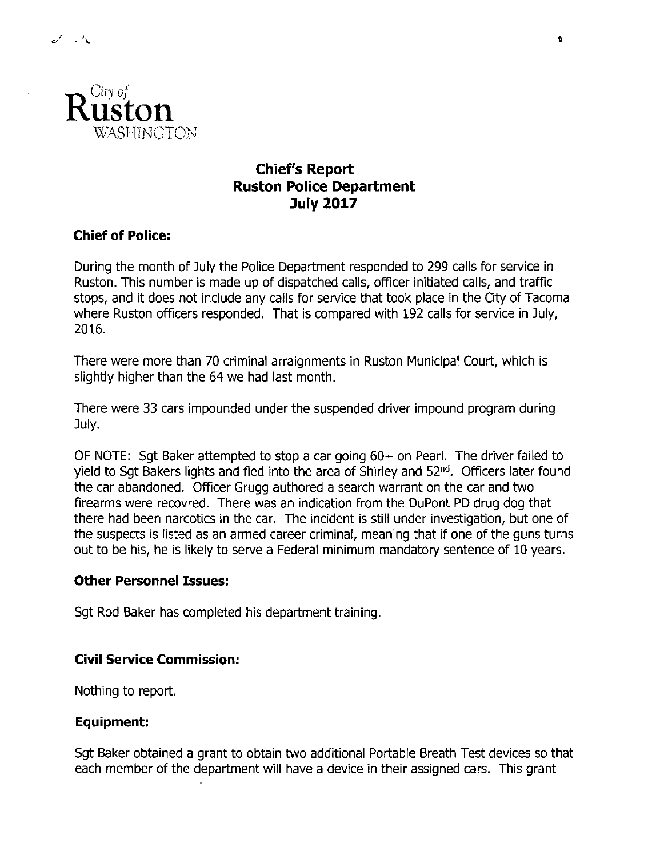

# **Chief's Report Ruston Police Department July 2017**

# **Chief of Police:**

During the month of July the Police Department responded to 299 calls for service in Ruston. This number is made up of dispatched calls, officer initiated calls, and traffic stops, and it does not include any calls for service that took place in the City of Tacoma where Ruston officers responded. That is compared with 192 calls for service in July, 2016.

There were more than 70 criminal arraignments in Ruston Municipal Court, which is slightly higher than the 64 we had last month.

There were 33 cars impounded under the suspended driver impound program during July.

OF NOTE: Sgt Baker attempted to stop a car going 60+ on Pearl. The driver failed to yield to Sqt Bakers lights and fled into the area of Shirley and 52<sup>nd</sup>. Officers later found the car abandoned. Officer Grugg authored a search warrant on the car and two firearms were recovred. There was an indication from the DuPont PD drug dog that there had been narcotics in the car. The incident is still under investigation, but one of the suspects is listed as an armed career criminal, meaning that if one of the guns turns out to be his, he is likely to serve a Federal minimum mandatory sentence of 10 years.

## **Other Personnel Issues:**

Sgt Rod Baker has completed his department training.

## **Civil Service Commission:**

Nothing to report.

### Equipment:

Sgt Baker obtained a grant to obtain two additional Portable Breath Test devices so that each member of the department will have a device in their assigned cars. This grant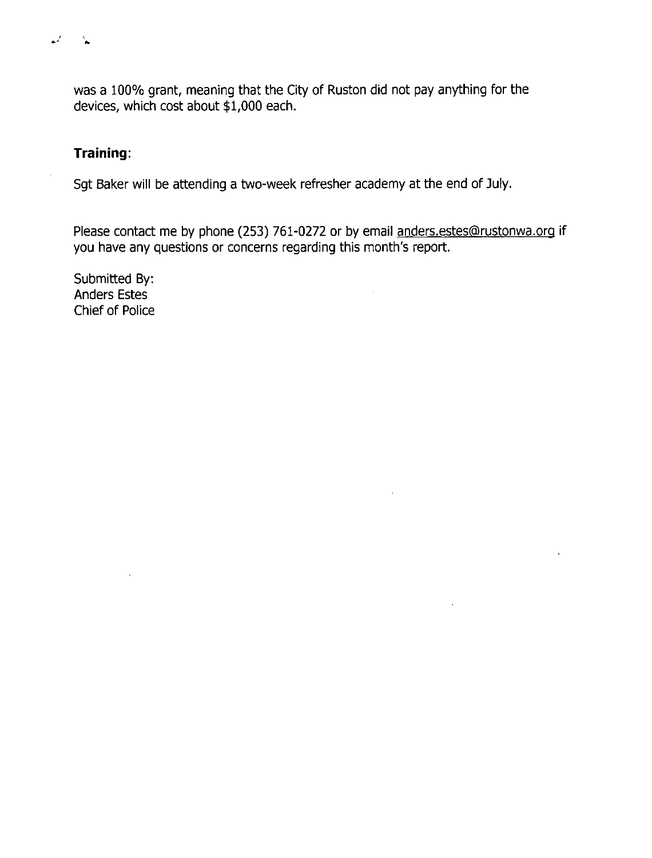was a 100% grant, meaning that the City of Ruston did not pay anything for the devices, which cost about \$1,000 each.

# Training:

 $\bullet$ 

 $\mathbf{A}$ 

Sgt Baker will be attending a two-week refresher academy at the end of July.

Please contact me by phone (253) 761-0272 or by email anders.estes@rustonwa.org if you have any questions or concerns regarding this month's report.

Submitted By: **Anders Estes** Chief of Police